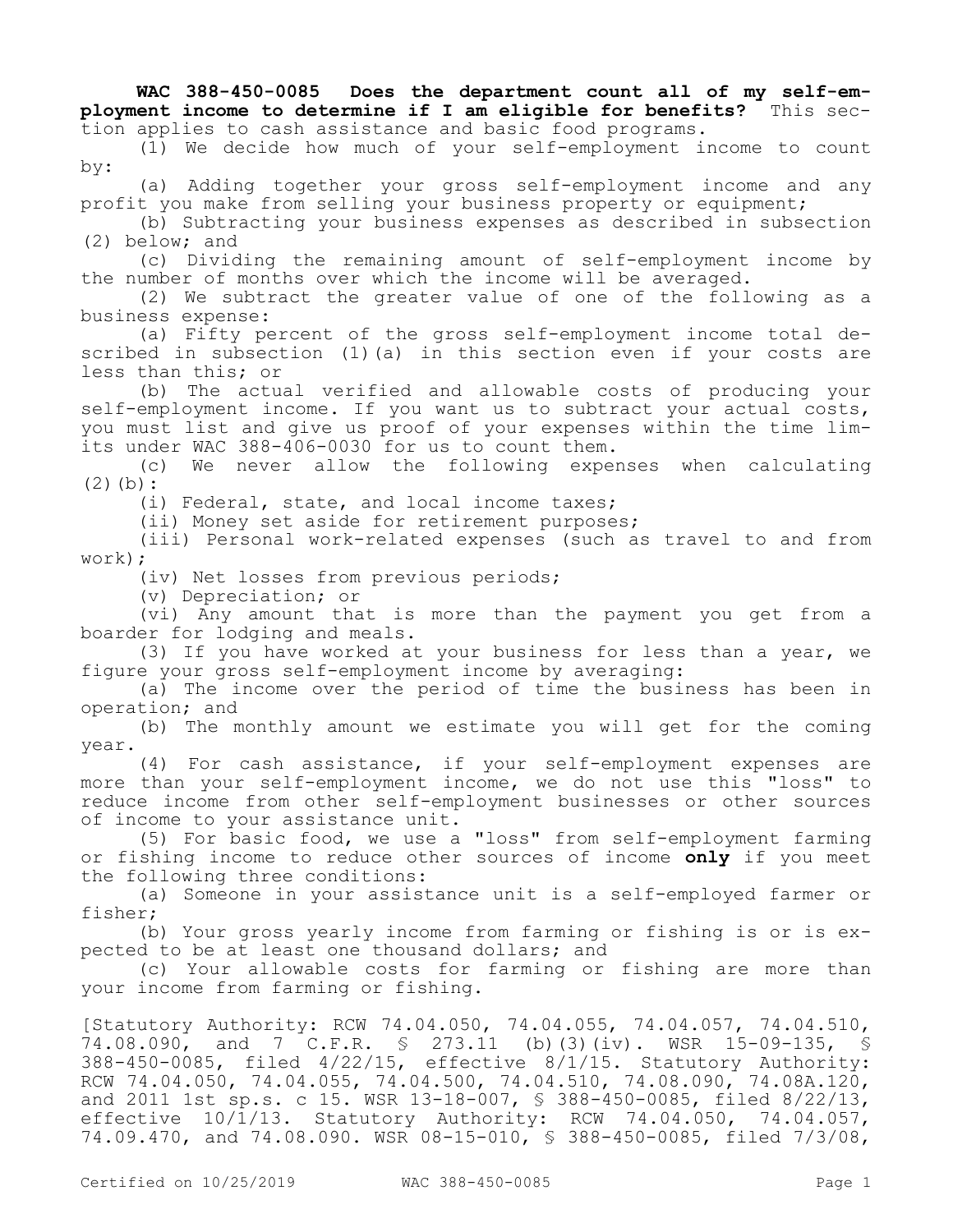**WAC 388-450-0085 Does the department count all of my self-employment income to determine if I am eligible for benefits?** This section applies to cash assistance and basic food programs.

(1) We decide how much of your self-employment income to count by:

(a) Adding together your gross self-employment income and any profit you make from selling your business property or equipment;

(b) Subtracting your business expenses as described in subsection (2) below; and

(c) Dividing the remaining amount of self-employment income by the number of months over which the income will be averaged.

(2) We subtract the greater value of one of the following as a business expense:

(a) Fifty percent of the gross self-employment income total described in subsection (1) (a) in this section even if your costs are less than this; or

(b) The actual verified and allowable costs of producing your self-employment income. If you want us to subtract your actual costs, you must list and give us proof of your expenses within the time limits under WAC 388-406-0030 for us to count them.

(c) We never allow the following expenses when calculating  $(2)(b):$ 

(i) Federal, state, and local income taxes;

(ii) Money set aside for retirement purposes;

(iii) Personal work-related expenses (such as travel to and from work);

(iv) Net losses from previous periods;

(v) Depreciation; or

(vi) Any amount that is more than the payment you get from a boarder for lodging and meals.

(3) If you have worked at your business for less than a year, we figure your gross self-employment income by averaging:

(a) The income over the period of time the business has been in operation; and

(b) The monthly amount we estimate you will get for the coming year.

(4) For cash assistance, if your self-employment expenses are more than your self-employment income, we do not use this "loss" to reduce income from other self-employment businesses or other sources of income to your assistance unit.

(5) For basic food, we use a "loss" from self-employment farming or fishing income to reduce other sources of income **only** if you meet the following three conditions:

(a) Someone in your assistance unit is a self-employed farmer or fisher;

(b) Your gross yearly income from farming or fishing is or is expected to be at least one thousand dollars; and

(c) Your allowable costs for farming or fishing are more than your income from farming or fishing.

[Statutory Authority: RCW 74.04.050, 74.04.055, 74.04.057, 74.04.510, 74.08.090, and 7 C.F.R. § 273.11 (b)(3)(iv). WSR 15-09-135, § 388-450-0085, filed 4/22/15, effective 8/1/15. Statutory Authority: RCW 74.04.050, 74.04.055, 74.04.500, 74.04.510, 74.08.090, 74.08A.120, and 2011 1st sp.s. c 15. WSR 13-18-007, § 388-450-0085, filed 8/22/13, effective 10/1/13. Statutory Authority: RCW 74.04.050, 74.04.057, 74.09.470, and 74.08.090. WSR 08-15-010, § 388-450-0085, filed 7/3/08,